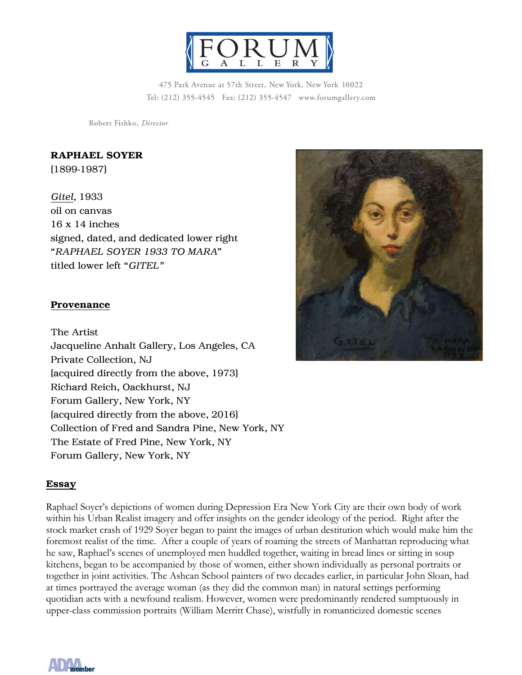

475 Park Avenue at 57th Street, New York, New York 10022 Tel: (212) 355-4545 Fax: (212) 355-4547 www.forumgallery.com

Robert Fishko, Director

## RAPHAEL SOYER

(1899-1987)

*Gitel*, 1933 oil on canvas 16 x 14 inches signed, dated, and dedicated lower right "*RAPHAEL SOYER 1933 TO MARA*" titled lower left "*GITEL"*

## Provenance

The Artist Jacqueline Anhalt Gallery, Los Angeles, CA Private Collection, NJ (acquired directly from the above, 1973) Richard Reich, Oackhurst, NJ Forum Gallery, New York, NY (acquired directly from the above, 2016) Collection of Fred and Sandra Pine, New York, NY The Estate of Fred Pine, New York, NY Forum Gallery, New York, NY

## Essay

Raphael Soyer's depictions of women during Depression Era New York City are their own body of work within his Urban Realist imagery and offer insights on the gender ideology of the period. Right after the stock market crash of 1929 Soyer began to paint the images of urban destitution which would make him the foremost realist of the time. After a couple of years of roaming the streets of Manhattan reproducing what he saw, Raphael's scenes of unemployed men huddled together, waiting in bread lines or sitting in soup kitchens, began to be accompanied by those of women, either shown individually as personal portraits or together in joint activities. The Ashcan School painters of two decades earlier, in particular John Sloan, had at times portrayed the average woman (as they did the common man) in natural settings performing quotidian acts with a newfound realism. However, women were predominantly rendered sumptuously in upper-class commission portraits (William Merritt Chase), wistfully in romanticized domestic scenes



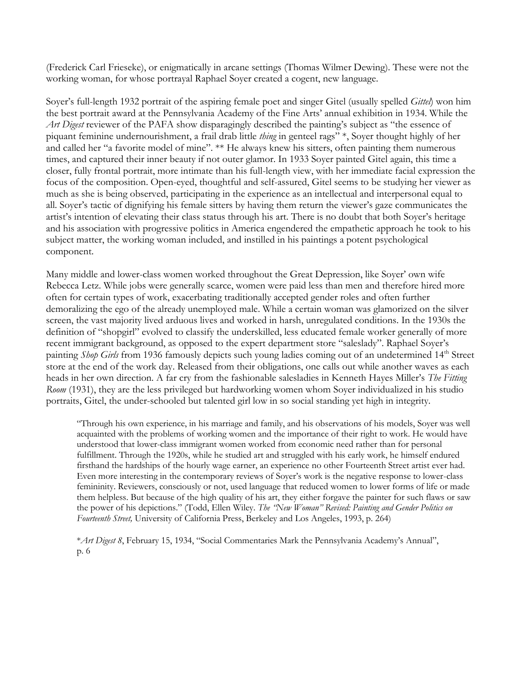(Frederick Carl Frieseke), or enigmatically in arcane settings (Thomas Wilmer Dewing). These were not the working woman, for whose portrayal Raphael Soyer created a cogent, new language.

Soyer's full-length 1932 portrait of the aspiring female poet and singer Gitel (usually spelled *Gittel*) won him the best portrait award at the Pennsylvania Academy of the Fine Arts' annual exhibition in 1934. While the *Art Digest* reviewer of the PAFA show disparagingly described the painting's subject as "the essence of piquant feminine undernourishment, a frail drab little *thing* in genteel rags" \*, Soyer thought highly of her and called her "a favorite model of mine". \*\* He always knew his sitters, often painting them numerous times, and captured their inner beauty if not outer glamor. In 1933 Soyer painted Gitel again, this time a closer, fully frontal portrait, more intimate than his full-length view, with her immediate facial expression the focus of the composition. Open-eyed, thoughtful and self-assured, Gitel seems to be studying her viewer as much as she is being observed, participating in the experience as an intellectual and interpersonal equal to all. Soyer's tactic of dignifying his female sitters by having them return the viewer's gaze communicates the artist's intention of elevating their class status through his art. There is no doubt that both Soyer's heritage and his association with progressive politics in America engendered the empathetic approach he took to his subject matter, the working woman included, and instilled in his paintings a potent psychological component.

Many middle and lower-class women worked throughout the Great Depression, like Soyer' own wife Rebecca Letz. While jobs were generally scarce, women were paid less than men and therefore hired more often for certain types of work, exacerbating traditionally accepted gender roles and often further demoralizing the ego of the already unemployed male. While a certain woman was glamorized on the silver screen, the vast majority lived arduous lives and worked in harsh, unregulated conditions. In the 1930s the definition of "shopgirl" evolved to classify the underskilled, less educated female worker generally of more recent immigrant background, as opposed to the expert department store "saleslady". Raphael Soyer's painting *Shop Girls* from 1936 famously depicts such young ladies coming out of an undetermined 14<sup>th</sup> Street store at the end of the work day. Released from their obligations, one calls out while another waves as each heads in her own direction. A far cry from the fashionable salesladies in Kenneth Hayes Miller's *The Fitting Room* (1931), they are the less privileged but hardworking women whom Soyer individualized in his studio portraits, Gitel, the under-schooled but talented girl low in so social standing yet high in integrity.

"Through his own experience, in his marriage and family, and his observations of his models, Soyer was well acquainted with the problems of working women and the importance of their right to work. He would have understood that lower-class immigrant women worked from economic need rather than for personal fulfillment. Through the 1920s, while he studied art and struggled with his early work, he himself endured firsthand the hardships of the hourly wage earner, an experience no other Fourteenth Street artist ever had. Even more interesting in the contemporary reviews of Soyer's work is the negative response to lower-class femininity. Reviewers, consciously or not, used language that reduced women to lower forms of life or made them helpless. But because of the high quality of his art, they either forgave the painter for such flaws or saw the power of his depictions." (Todd, Ellen Wiley. *The "New Woman" Revised: Painting and Gender Politics on Fourteenth Street,* University of California Press, Berkeley and Los Angeles, 1993, p. 264)

\**Art Digest 8*, February 15, 1934, "Social Commentaries Mark the Pennsylvania Academy's Annual", p. 6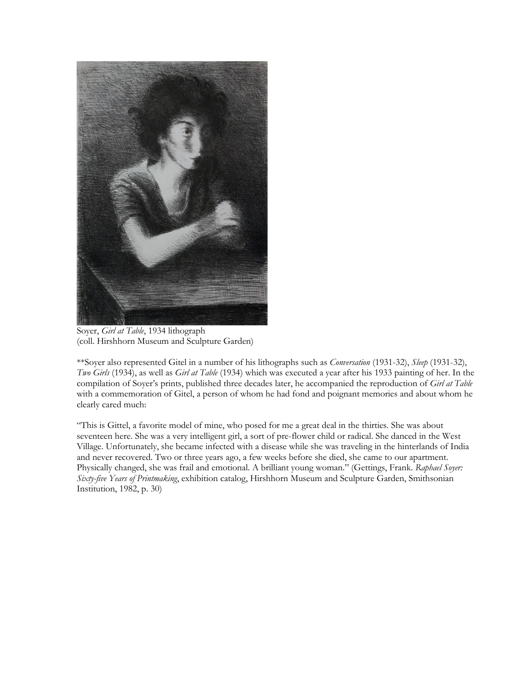

Soyer, *Girl at Table*, 1934 lithograph (coll. Hirshhorn Museum and Sculpture Garden)

\*\*Soyer also represented Gitel in a number of his lithographs such as *Conversation* (1931-32), *Sleep* (1931-32), *Two Girls* (1934), as well as *Girl at Table* (1934) which was executed a year after his 1933 painting of her. In the compilation of Soyer's prints, published three decades later, he accompanied the reproduction of *Girl at Table* with a commemoration of Gitel, a person of whom he had fond and poignant memories and about whom he clearly cared much:

"This is Gittel, a favorite model of mine, who posed for me a great deal in the thirties. She was about seventeen here. She was a very intelligent girl, a sort of pre-flower child or radical. She danced in the West Village. Unfortunately, she became infected with a disease while she was traveling in the hinterlands of India and never recovered. Two or three years ago, a few weeks before she died, she came to our apartment. Physically changed, she was frail and emotional. A brilliant young woman." (Gettings, Frank. *Raphael Soyer: Sixty-five Years of Printmaking*, exhibition catalog, Hirshhorn Museum and Sculpture Garden, Smithsonian Institution, 1982, p. 30)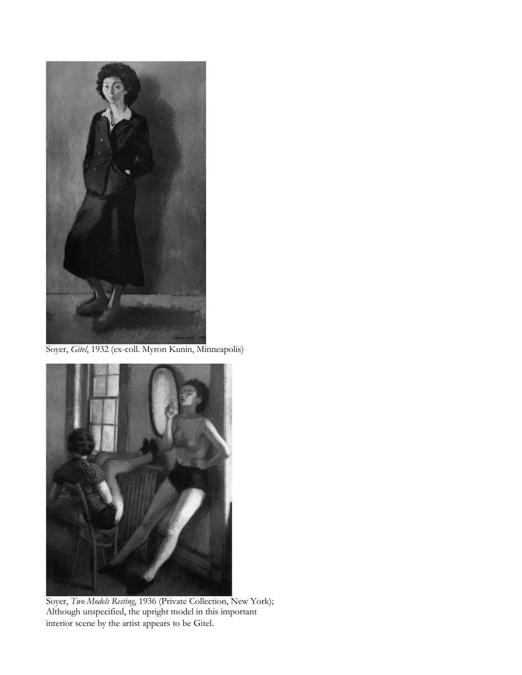

Soyer, *Gitel*, 1932 (ex-coll. Myron Kunin, Minneapolis)



Soyer, *Two Models Resting*, 1936 (Private Collection, New York); Although unspecified, the upright model in this important interior scene by the artist appears to be Gitel.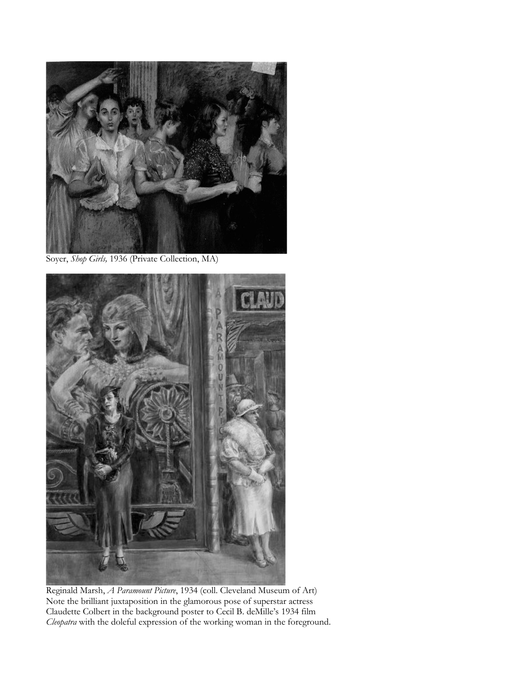

Soyer, *Shop Girls,* 1936 (Private Collection, MA)



Reginald Marsh, *A Paramount Picture*, 1934 (coll. Cleveland Museum of Art) Note the brilliant juxtaposition in the glamorous pose of superstar actress Claudette Colbert in the background poster to Cecil B. deMille's 1934 film *Cleopatra* with the doleful expression of the working woman in the foreground.